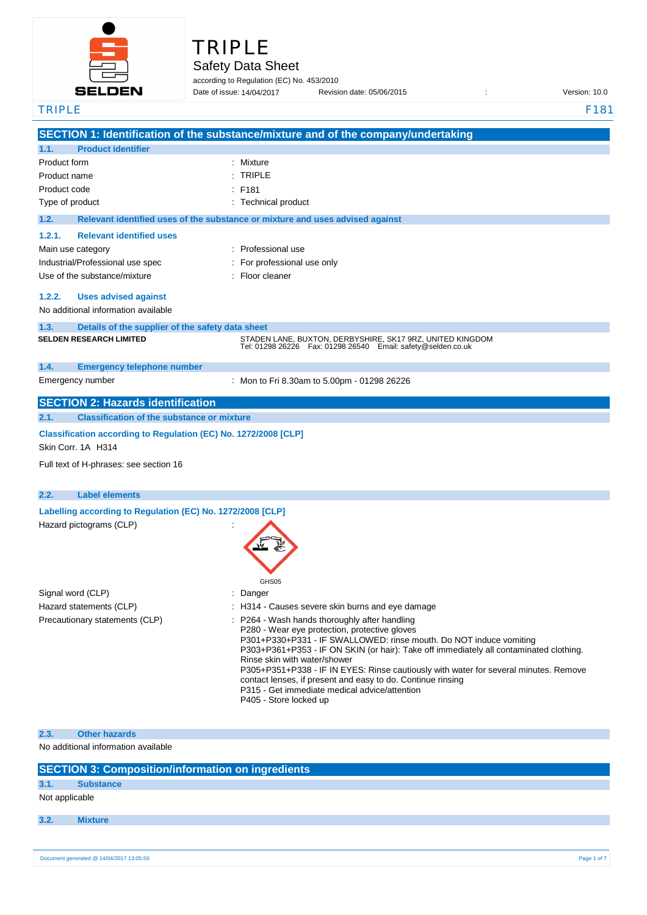

# TRIPLE

# Safety Data Sheet

according to Regulation (EC) No. 453/2010

Date of issue: Revision date: 05/06/2015 : Version: 10.0 Date of issue: 14/04/2017

| <b>TRIPLE</b>                                                      | F181                                                                                                                            |  |  |
|--------------------------------------------------------------------|---------------------------------------------------------------------------------------------------------------------------------|--|--|
|                                                                    | SECTION 1: Identification of the substance/mixture and of the company/undertaking                                               |  |  |
| <b>Product identifier</b><br>1.1.                                  |                                                                                                                                 |  |  |
| Product form                                                       | Mixture                                                                                                                         |  |  |
| Product name                                                       | <b>TRIPLE</b>                                                                                                                   |  |  |
| Product code                                                       | F181                                                                                                                            |  |  |
| Type of product                                                    | : Technical product                                                                                                             |  |  |
| 1.2.                                                               | Relevant identified uses of the substance or mixture and uses advised against                                                   |  |  |
| <b>Relevant identified uses</b><br>1.2.1.                          |                                                                                                                                 |  |  |
| Main use category                                                  | : Professional use                                                                                                              |  |  |
| Industrial/Professional use spec                                   | For professional use only                                                                                                       |  |  |
| Use of the substance/mixture                                       | Floor cleaner                                                                                                                   |  |  |
|                                                                    |                                                                                                                                 |  |  |
| 1.2.2.<br><b>Uses advised against</b>                              |                                                                                                                                 |  |  |
| No additional information available                                |                                                                                                                                 |  |  |
| 1.3.<br>Details of the supplier of the safety data sheet           |                                                                                                                                 |  |  |
| <b>SELDEN RESEARCH LIMITED</b>                                     | STADEN LANE, BUXTON, DERBYSHIRE, SK17 9RZ, UNITED KINGDOM<br>Tel: 01298 26226    Fax: 01298 26540    Email: safety@selden.co.uk |  |  |
|                                                                    |                                                                                                                                 |  |  |
| 1.4.<br><b>Emergency telephone number</b>                          |                                                                                                                                 |  |  |
| Emergency number                                                   | : Mon to Fri 8.30am to 5.00pm - 01298 26226                                                                                     |  |  |
| <b>SECTION 2: Hazards identification</b>                           |                                                                                                                                 |  |  |
| <b>Classification of the substance or mixture</b><br>2.1.          |                                                                                                                                 |  |  |
| Classification according to Regulation (EC) No. 1272/2008 [CLP]    |                                                                                                                                 |  |  |
| Skin Corr. 1A H314                                                 |                                                                                                                                 |  |  |
| Full text of H-phrases: see section 16                             |                                                                                                                                 |  |  |
|                                                                    |                                                                                                                                 |  |  |
| <b>Label elements</b>                                              |                                                                                                                                 |  |  |
| 2.2.<br>Labelling according to Regulation (EC) No. 1272/2008 [CLP] |                                                                                                                                 |  |  |
|                                                                    |                                                                                                                                 |  |  |
| Hazard pictograms (CLP)                                            |                                                                                                                                 |  |  |
|                                                                    |                                                                                                                                 |  |  |
|                                                                    |                                                                                                                                 |  |  |
|                                                                    |                                                                                                                                 |  |  |
|                                                                    | GHS05                                                                                                                           |  |  |
| Signal word (CLP)                                                  | Danger                                                                                                                          |  |  |
| Hazard statements (CLP)                                            | : H314 - Causes severe skin burns and eye damage                                                                                |  |  |
| Precautionary statements (CLP)                                     | P264 - Wash hands thoroughly after handling<br>P280 - Wear eye protection, protective gloves                                    |  |  |
|                                                                    | P301+P330+P331 - IF SWALLOWED: rinse mouth. Do NOT induce vomiting                                                              |  |  |
|                                                                    | P303+P361+P353 - IF ON SKIN (or hair): Take off immediately all contaminated clothing.                                          |  |  |
|                                                                    | Rinse skin with water/shower<br>P305+P351+P338 - IF IN EYES: Rinse cautiously with water for several minutes. Remove            |  |  |
|                                                                    | contact lenses, if present and easy to do. Continue rinsing                                                                     |  |  |
|                                                                    | P315 - Get immediate medical advice/attention                                                                                   |  |  |
|                                                                    | P405 - Store locked up                                                                                                          |  |  |
|                                                                    |                                                                                                                                 |  |  |
| <b>Other hazards</b><br>2.3.                                       |                                                                                                                                 |  |  |
| No additional information available                                |                                                                                                                                 |  |  |
| <b>SECTION 3: Composition/information on ingredients</b>           |                                                                                                                                 |  |  |
| 3.1.<br><b>Substance</b>                                           |                                                                                                                                 |  |  |

#### **3.2. Mixture**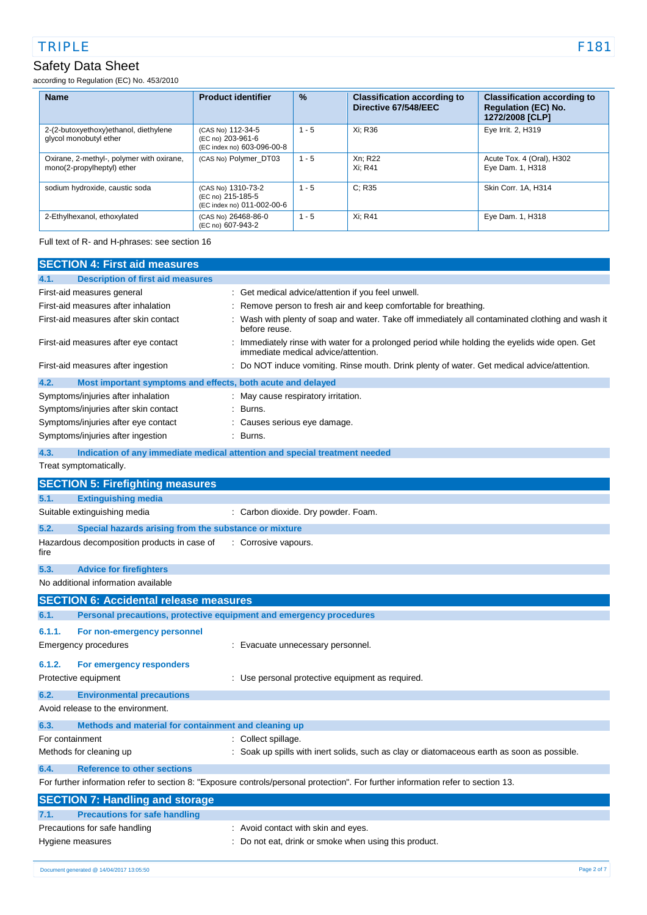according to Regulation (EC) No. 453/2010

| <b>Name</b>                                                             | <b>Product identifier</b>                                             | $\frac{9}{6}$ | <b>Classification according to</b><br>Directive 67/548/EEC | <b>Classification according to</b><br><b>Regulation (EC) No.</b><br>1272/2008 [CLP] |
|-------------------------------------------------------------------------|-----------------------------------------------------------------------|---------------|------------------------------------------------------------|-------------------------------------------------------------------------------------|
| 2-(2-butoxyethoxy)ethanol, diethylene<br>glycol monobutyl ether         | (CAS No) 112-34-5<br>(EC no) 203-961-6<br>(EC index no) 603-096-00-8  | $1 - 5$       | Xi: R36                                                    | Eye Irrit. 2, H319                                                                  |
| Oxirane, 2-methyl-, polymer with oxirane,<br>mono(2-propylheptyl) ether | (CAS No) Polymer DT03                                                 | $1 - 5$       | Xn: R22<br>Xi: R41                                         | Acute Tox. 4 (Oral), H302<br>Eye Dam. 1, H318                                       |
| sodium hydroxide, caustic soda                                          | (CAS No) 1310-73-2<br>(EC no) 215-185-5<br>(EC index no) 011-002-00-6 | $1 - 5$       | C: R35                                                     | Skin Corr. 1A, H314                                                                 |
| 2-Ethylhexanol, ethoxylated                                             | (CAS No) 26468-86-0<br>(EC no) 607-943-2                              | $1 - 5$       | Xi: R41                                                    | Eye Dam. 1, H318                                                                    |

Full text of R- and H-phrases: see section 16

| <b>SECTION 4: First aid measures</b>                                          |                                                                                                                                     |
|-------------------------------------------------------------------------------|-------------------------------------------------------------------------------------------------------------------------------------|
| <b>Description of first aid measures</b><br>4.1.                              |                                                                                                                                     |
| First-aid measures general                                                    | Get medical advice/attention if you feel unwell.                                                                                    |
| First-aid measures after inhalation                                           | Remove person to fresh air and keep comfortable for breathing.                                                                      |
| First-aid measures after skin contact                                         | Wash with plenty of soap and water. Take off immediately all contaminated clothing and wash it<br>before reuse.                     |
| First-aid measures after eye contact                                          | Immediately rinse with water for a prolonged period while holding the eyelids wide open. Get<br>immediate medical advice/attention. |
| First-aid measures after ingestion                                            | Do NOT induce vomiting. Rinse mouth. Drink plenty of water. Get medical advice/attention.                                           |
| 4.2.<br>Most important symptoms and effects, both acute and delayed           |                                                                                                                                     |
| Symptoms/injuries after inhalation                                            | May cause respiratory irritation.                                                                                                   |
| Symptoms/injuries after skin contact                                          | Burns.                                                                                                                              |
| Symptoms/injuries after eye contact                                           | Causes serious eye damage.                                                                                                          |
| Symptoms/injuries after ingestion                                             | Burns.                                                                                                                              |
| 4.3.                                                                          | Indication of any immediate medical attention and special treatment needed                                                          |
| Treat symptomatically.                                                        |                                                                                                                                     |
| <b>SECTION 5: Firefighting measures</b>                                       |                                                                                                                                     |
| <b>Extinguishing media</b><br>5.1.                                            |                                                                                                                                     |
| Suitable extinguishing media                                                  | : Carbon dioxide. Dry powder. Foam.                                                                                                 |
| 5.2.<br>Special hazards arising from the substance or mixture                 |                                                                                                                                     |
| Hazardous decomposition products in case of<br>fire                           | : Corrosive vapours.                                                                                                                |
| 5.3.<br><b>Advice for firefighters</b>                                        |                                                                                                                                     |
| No additional information available                                           |                                                                                                                                     |
| <b>SECTION 6: Accidental release measures</b>                                 |                                                                                                                                     |
| Personal precautions, protective equipment and emergency procedures<br>6.1.   |                                                                                                                                     |
| 6.1.1.<br>For non-emergency personnel                                         |                                                                                                                                     |
| Emergency procedures                                                          | Evacuate unnecessary personnel.                                                                                                     |
| 6.1.2.<br>For emergency responders                                            |                                                                                                                                     |
| Protective equipment                                                          | : Use personal protective equipment as required.                                                                                    |
|                                                                               |                                                                                                                                     |
| 6.2.<br><b>Environmental precautions</b><br>Avoid release to the environment. |                                                                                                                                     |
|                                                                               |                                                                                                                                     |
| 6.3.<br>Methods and material for containment and cleaning up                  |                                                                                                                                     |
| For containment                                                               | : Collect spillage.                                                                                                                 |
| Methods for cleaning up                                                       | Soak up spills with inert solids, such as clay or diatomaceous earth as soon as possible.                                           |
| <b>Reference to other sections</b><br>6.4.                                    |                                                                                                                                     |
|                                                                               | For further information refer to section 8: "Exposure controls/personal protection". For further information refer to section 13.   |
| <b>SECTION 7: Handling and storage</b>                                        |                                                                                                                                     |
| <b>Precautions for safe handling</b><br>7.1.                                  |                                                                                                                                     |
| Precautions for safe handling                                                 | : Avoid contact with skin and eyes.                                                                                                 |
| Hygiene measures                                                              | Do not eat, drink or smoke when using this product.                                                                                 |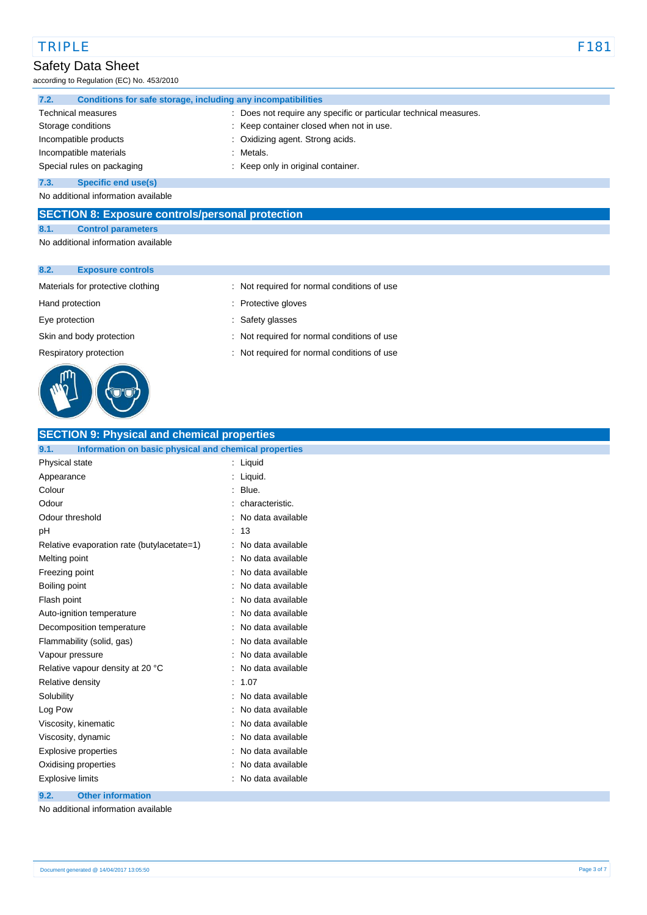according to Regulation (EC) No. 453/2010

| 7.2. | Conditions for safe storage, including any incompatibilities |  |                                                                   |
|------|--------------------------------------------------------------|--|-------------------------------------------------------------------|
|      | <b>Technical measures</b>                                    |  | : Does not require any specific or particular technical measures. |
|      | Storage conditions                                           |  | : Keep container closed when not in use.                          |
|      | Incompatible products                                        |  | : Oxidizing agent. Strong acids.                                  |
|      | Incompatible materials                                       |  | : Metals.                                                         |
|      | Special rules on packaging                                   |  | : Keep only in original container.                                |
| 7.3. | Specific end use(s)                                          |  |                                                                   |

No additional information available

#### **SECTION 8: Exposure controls/personal protection**

#### **8.1. Control parameters**

No additional information available

#### **8.2. Exposure controls**



#### Materials for protective clothing : Not required for normal conditions of use

- Hand protection **in the contract of the contract of the contract of the contract of the contract of the contract of the contract of the contract of the contract of the contract of the contract of the contract of the contra**
- Eye protection  $\qquad \qquad$ : Safety glasses
- Skin and body protection : Not required for normal conditions of use
- Respiratory protection : Not required for normal conditions of use

# **SECTION 9: Physical and chemical properties**

| Information on basic physical and chemical properties<br>9.1. |                   |
|---------------------------------------------------------------|-------------------|
| Physical state                                                | Liquid<br>t       |
| Appearance                                                    | Liquid.           |
| Colour                                                        | Blue.             |
| Odour                                                         | characteristic.   |
| Odour threshold                                               | No data available |
| рH                                                            | 13                |
| Relative evaporation rate (butylacetate=1)                    | No data available |
| Melting point                                                 | No data available |
| Freezing point                                                | No data available |
| Boiling point                                                 | No data available |
| Flash point                                                   | No data available |
| Auto-ignition temperature                                     | No data available |
| Decomposition temperature                                     | No data available |
| Flammability (solid, gas)                                     | No data available |
| Vapour pressure                                               | No data available |
| Relative vapour density at 20 °C                              | No data available |
| Relative density                                              | 1.07              |
| Solubility                                                    | No data available |
| Log Pow                                                       | No data available |
| Viscosity, kinematic                                          | No data available |
| Viscosity, dynamic                                            | No data available |
| Explosive properties                                          | No data available |
| Oxidising properties                                          | No data available |
| <b>Explosive limits</b>                                       | No data available |
|                                                               |                   |

#### **9.2. Other information**

No additional information available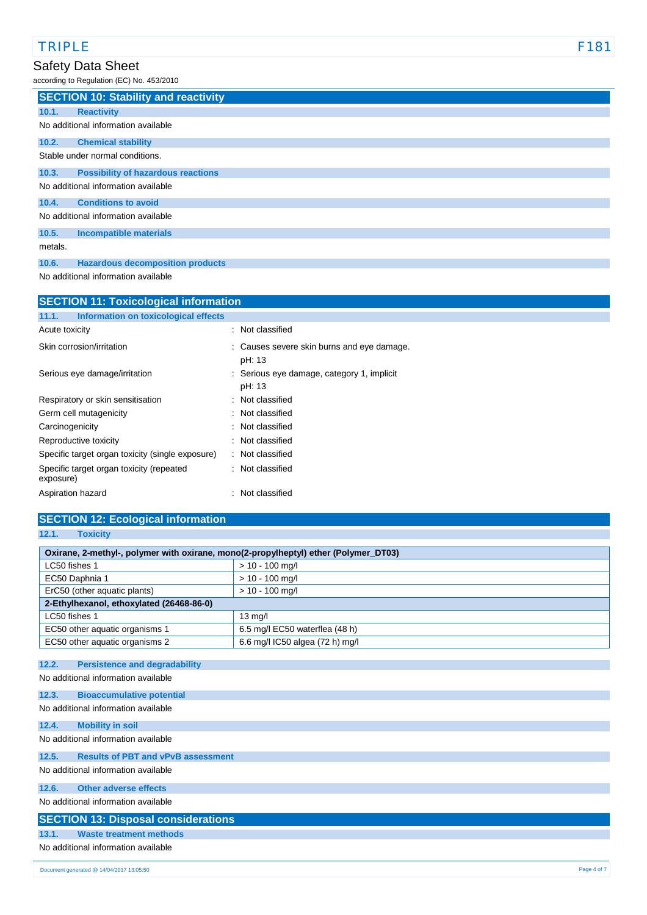according to Regulation (EC) No. 453/2010

|         | <b>SECTION 10: Stability and reactivity</b> |
|---------|---------------------------------------------|
| 10.1.   | <b>Reactivity</b>                           |
|         | No additional information available         |
| 10.2.   | <b>Chemical stability</b>                   |
|         | Stable under normal conditions.             |
| 10.3.   | <b>Possibility of hazardous reactions</b>   |
|         | No additional information available         |
| 10.4.   | <b>Conditions to avoid</b>                  |
|         | No additional information available         |
| 10.5.   | <b>Incompatible materials</b>               |
| metals. |                                             |
| 10.6.   | <b>Hazardous decomposition products</b>     |

No additional information available

| <b>SECTION 11: Toxicological information</b>          |                                                      |  |  |
|-------------------------------------------------------|------------------------------------------------------|--|--|
| Information on toxicological effects<br>11.1.         |                                                      |  |  |
| Acute toxicity                                        | : Not classified                                     |  |  |
| Skin corrosion/irritation                             | : Causes severe skin burns and eye damage.<br>pH: 13 |  |  |
| Serious eye damage/irritation                         | : Serious eye damage, category 1, implicit<br>pH: 13 |  |  |
| Respiratory or skin sensitisation                     | : Not classified                                     |  |  |
| Germ cell mutagenicity                                | : Not classified                                     |  |  |
| Carcinogenicity                                       | : Not classified                                     |  |  |
| Reproductive toxicity                                 | : Not classified                                     |  |  |
| Specific target organ toxicity (single exposure)      | : Not classified                                     |  |  |
| Specific target organ toxicity (repeated<br>exposure) | Not classified                                       |  |  |
| Aspiration hazard                                     | Not classified                                       |  |  |

| <b>SECTION 12: Ecological information</b>                                           |                                 |  |  |
|-------------------------------------------------------------------------------------|---------------------------------|--|--|
| 12.1.<br><b>Toxicity</b>                                                            |                                 |  |  |
|                                                                                     |                                 |  |  |
| Oxirane, 2-methyl-, polymer with oxirane, mono(2-propylheptyl) ether (Polymer_DT03) |                                 |  |  |
| LC50 fishes 1                                                                       | $> 10 - 100$ mg/l               |  |  |
| EC50 Daphnia 1                                                                      | $> 10 - 100$ mg/l               |  |  |
| ErC50 (other aquatic plants)                                                        | $> 10 - 100$ mg/l               |  |  |
| 2-Ethylhexanol, ethoxylated (26468-86-0)                                            |                                 |  |  |
| LC50 fishes 1                                                                       | $13$ mg/l                       |  |  |
| EC50 other aquatic organisms 1                                                      | 6.5 mg/l EC50 waterflea (48 h)  |  |  |
| EC50 other aquatic organisms 2                                                      | 6.6 mg/l IC50 algea (72 h) mg/l |  |  |
|                                                                                     |                                 |  |  |
| 12.2.<br><b>Persistence and degradability</b>                                       |                                 |  |  |
| No additional information available                                                 |                                 |  |  |
| 12.3.<br><b>Bioaccumulative potential</b>                                           |                                 |  |  |
| No additional information available                                                 |                                 |  |  |
| <b>Mobility in soil</b><br>12.4.                                                    |                                 |  |  |
| No additional information available                                                 |                                 |  |  |
| <b>Results of PBT and vPvB assessment</b><br>12.5.                                  |                                 |  |  |
| No additional information available                                                 |                                 |  |  |
| <b>Other adverse effects</b><br>12.6.                                               |                                 |  |  |
| No additional information available                                                 |                                 |  |  |
| <b>SECTION 13: Disposal considerations</b>                                          |                                 |  |  |
| <b>Waste treatment methods</b><br>13.1.                                             |                                 |  |  |
| No additional information available                                                 |                                 |  |  |
|                                                                                     |                                 |  |  |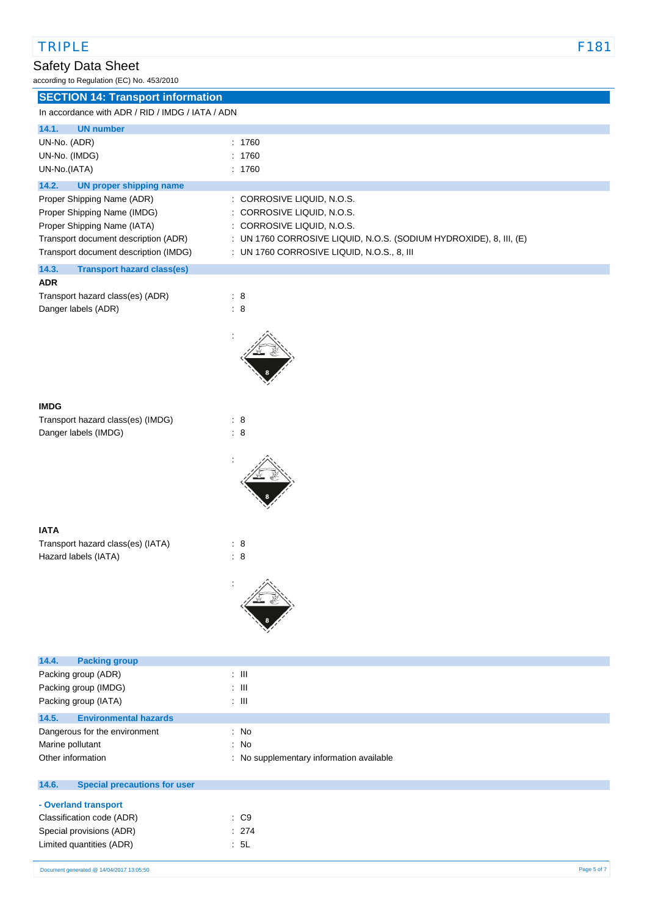according to Regulation (EC) No. 453/2010

| according to regulation (LO) no. 400/2010        |                                                                    |  |  |
|--------------------------------------------------|--------------------------------------------------------------------|--|--|
| <b>SECTION 14: Transport information</b>         |                                                                    |  |  |
| In accordance with ADR / RID / IMDG / IATA / ADN |                                                                    |  |  |
| 14.1.<br><b>UN number</b>                        |                                                                    |  |  |
|                                                  |                                                                    |  |  |
| UN-No. (ADR)                                     | : 1760                                                             |  |  |
| UN-No. (IMDG)                                    | : 1760                                                             |  |  |
| UN-No.(IATA)                                     | : 1760                                                             |  |  |
| 14.2.<br><b>UN proper shipping name</b>          |                                                                    |  |  |
| Proper Shipping Name (ADR)                       | : CORROSIVE LIQUID, N.O.S.                                         |  |  |
| Proper Shipping Name (IMDG)                      | : CORROSIVE LIQUID, N.O.S.                                         |  |  |
|                                                  |                                                                    |  |  |
| Proper Shipping Name (IATA)                      | : CORROSIVE LIQUID, N.O.S.                                         |  |  |
| Transport document description (ADR)             | : UN 1760 CORROSIVE LIQUID, N.O.S. (SODIUM HYDROXIDE), 8, III, (E) |  |  |
| Transport document description (IMDG)            | : UN 1760 CORROSIVE LIQUID, N.O.S., 8, III                         |  |  |
| 14.3.<br><b>Transport hazard class(es)</b>       |                                                                    |  |  |
| <b>ADR</b>                                       |                                                                    |  |  |
| Transport hazard class(es) (ADR)                 | : 8                                                                |  |  |
| Danger labels (ADR)                              | : 8                                                                |  |  |
|                                                  |                                                                    |  |  |
|                                                  |                                                                    |  |  |
|                                                  |                                                                    |  |  |
|                                                  |                                                                    |  |  |
|                                                  |                                                                    |  |  |
|                                                  |                                                                    |  |  |
|                                                  |                                                                    |  |  |
|                                                  |                                                                    |  |  |
| <b>IMDG</b>                                      |                                                                    |  |  |
| Transport hazard class(es) (IMDG)                | : 8                                                                |  |  |
| Danger labels (IMDG)                             | $\therefore$ 8                                                     |  |  |
|                                                  |                                                                    |  |  |
|                                                  |                                                                    |  |  |
|                                                  |                                                                    |  |  |
|                                                  |                                                                    |  |  |
|                                                  |                                                                    |  |  |
|                                                  |                                                                    |  |  |
|                                                  |                                                                    |  |  |
| <b>IATA</b>                                      |                                                                    |  |  |
| Transport hazard class(es) (IATA)                | : 8                                                                |  |  |
| Hazard labels (IATA)                             | : 8                                                                |  |  |
|                                                  |                                                                    |  |  |
|                                                  |                                                                    |  |  |
|                                                  |                                                                    |  |  |
|                                                  |                                                                    |  |  |
|                                                  |                                                                    |  |  |
|                                                  |                                                                    |  |  |
|                                                  |                                                                    |  |  |
|                                                  |                                                                    |  |  |
| 14.4.<br><b>Packing group</b>                    |                                                                    |  |  |
| Packing group (ADR)                              | $\therefore$ III                                                   |  |  |
| Packing group (IMDG)                             | $\pm$ 111                                                          |  |  |
| Packing group (IATA)                             | $\pm$ 111                                                          |  |  |
|                                                  |                                                                    |  |  |
| 14.5.<br><b>Environmental hazards</b>            |                                                                    |  |  |
| Dangerous for the environment                    | : No                                                               |  |  |
| Marine pollutant                                 | : No                                                               |  |  |
| Other information                                | : No supplementary information available                           |  |  |
|                                                  |                                                                    |  |  |
| 14.6.<br><b>Special precautions for user</b>     |                                                                    |  |  |

| - Overland transport |
|----------------------|
|----------------------|

| Classification code (ADR) | : C9  |
|---------------------------|-------|
| Special provisions (ADR)  | : 274 |
| Limited quantities (ADR)  | : 5L  |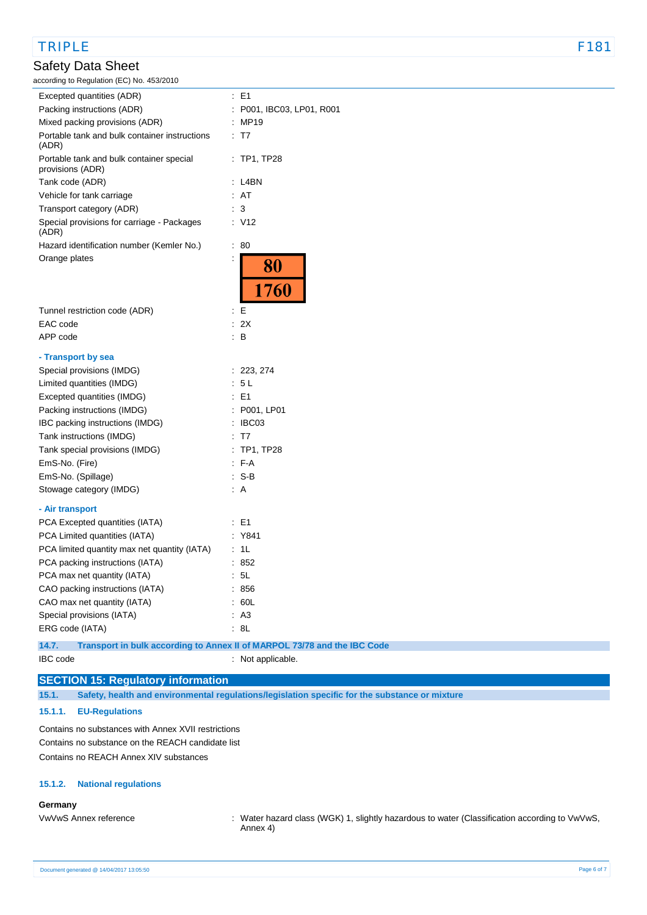### TRIPLE F181

## Safety Data Sheet

according to Regulation (EC) No. 453/2010

| according to Regulation (EC) No. 453/2010                    |                                                                          |
|--------------------------------------------------------------|--------------------------------------------------------------------------|
| Excepted quantities (ADR)                                    | $E = 1$                                                                  |
| Packing instructions (ADR)                                   | P001, IBC03, LP01, R001                                                  |
| Mixed packing provisions (ADR)                               | MP19                                                                     |
| Portable tank and bulk container instructions<br>(ADR)       | : T7                                                                     |
| Portable tank and bulk container special<br>provisions (ADR) | $:$ TP1, TP28                                                            |
| Tank code (ADR)                                              | : L4BN                                                                   |
| Vehicle for tank carriage                                    | : AT                                                                     |
| Transport category (ADR)                                     | 3                                                                        |
| Special provisions for carriage - Packages<br>(ADR)          | : V12                                                                    |
| Hazard identification number (Kemler No.)                    | ÷.<br>80                                                                 |
| Orange plates                                                |                                                                          |
|                                                              | 80                                                                       |
|                                                              | 1760                                                                     |
| Tunnel restriction code (ADR)                                | : E                                                                      |
| EAC code                                                     | 2X<br>÷.                                                                 |
| APP code                                                     | B<br>÷.                                                                  |
| - Transport by sea                                           |                                                                          |
| Special provisions (IMDG)                                    | : 223, 274                                                               |
| Limited quantities (IMDG)                                    | 5L<br>÷.                                                                 |
| Excepted quantities (IMDG)                                   | E <sub>1</sub>                                                           |
| Packing instructions (IMDG)                                  | : P001, LP01                                                             |
| IBC packing instructions (IMDG)                              | : IBC03                                                                  |
| Tank instructions (IMDG)                                     | : T7                                                                     |
| Tank special provisions (IMDG)                               | TP1, TP28                                                                |
| EmS-No. (Fire)                                               | $F-A$                                                                    |
| EmS-No. (Spillage)                                           | : S-B                                                                    |
| Stowage category (IMDG)                                      | : A                                                                      |
| - Air transport                                              |                                                                          |
| PCA Excepted quantities (IATA)                               | : E1                                                                     |
| PCA Limited quantities (IATA)                                | Y841                                                                     |
| PCA limited quantity max net quantity (IATA)                 | 1L                                                                       |
| PCA packing instructions (IATA)                              | 852                                                                      |
| PCA max net quantity (IATA)                                  | 5L                                                                       |
| CAO packing instructions (IATA)                              | 856                                                                      |
| CAO max net quantity (IATA)                                  | 60L                                                                      |
| Special provisions (IATA)                                    | A <sub>3</sub>                                                           |
| ERG code (IATA)                                              | 8L                                                                       |
| 14.7.                                                        | Transport in bulk according to Annex II of MARPOL 73/78 and the IBC Code |
|                                                              |                                                                          |

# IBC code : Not applicable. **SECTION 15: Regulatory information**

**15.1. Safety, health and environmental regulations/legislation specific for the substance or mixture**

#### **15.1.1. EU-Regulations**

Contains no substances with Annex XVII restrictions Contains no substance on the REACH candidate list Contains no REACH Annex XIV substances

#### **15.1.2. National regulations**

#### **Germany**

VwVwS Annex reference : Water hazard class (WGK) 1, slightly hazardous to water (Classification according to VwVwS, Annex 4)